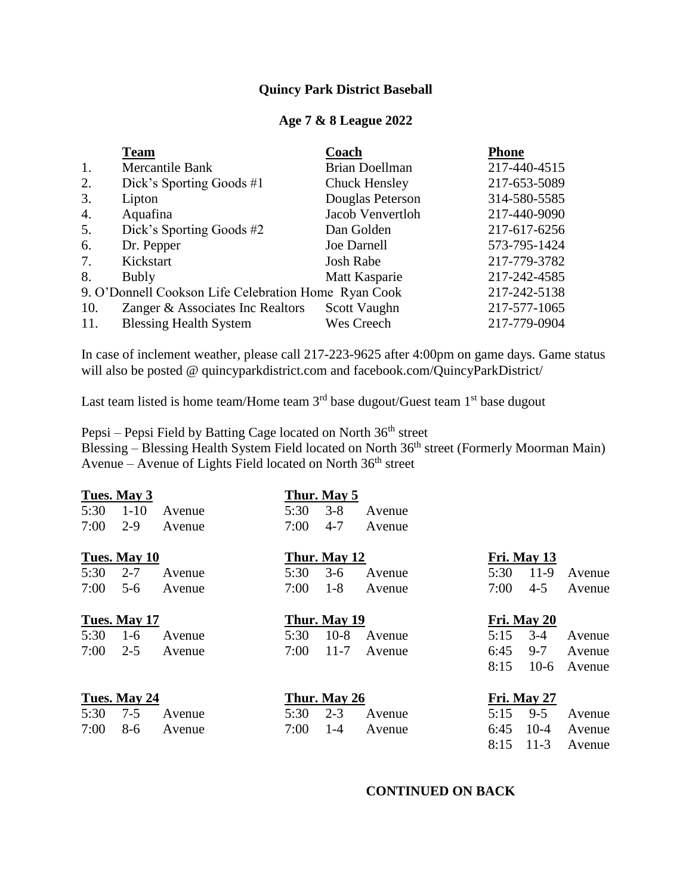## **Quincy Park District Baseball**

### **Age 7 & 8 League 2022**

|                                                      | <b>Team</b>                      | Coach                 | <b>Phone</b> |
|------------------------------------------------------|----------------------------------|-----------------------|--------------|
| 1.                                                   | Mercantile Bank                  | <b>Brian Doellman</b> | 217-440-4515 |
| 2.                                                   | Dick's Sporting Goods #1         | <b>Chuck Hensley</b>  | 217-653-5089 |
| 3.                                                   | Lipton                           | Douglas Peterson      | 314-580-5585 |
| 4.                                                   | Aquafina                         | Jacob Venvertloh      | 217-440-9090 |
| 5.                                                   | Dick's Sporting Goods #2         | Dan Golden            | 217-617-6256 |
| 6.                                                   | Dr. Pepper                       | Joe Darnell           | 573-795-1424 |
| 7.                                                   | Kickstart                        | Josh Rabe             | 217-779-3782 |
| 8.                                                   | <b>Bubly</b>                     | Matt Kasparie         | 217-242-4585 |
| 9. O'Donnell Cookson Life Celebration Home Ryan Cook |                                  |                       | 217-242-5138 |
| 10.                                                  | Zanger & Associates Inc Realtors | Scott Vaughn          | 217-577-1065 |
| 11.                                                  | <b>Blessing Health System</b>    | Wes Creech            | 217-779-0904 |

In case of inclement weather, please call 217-223-9625 after 4:00pm on game days. Game status will also be posted @ quincyparkdistrict.com and facebook.com/QuincyParkDistrict/

Last team listed is home team/Home team  $3<sup>rd</sup>$  base dugout/Guest team  $1<sup>st</sup>$  base dugout

Pepsi – Pepsi Field by Batting Cage located on North  $36<sup>th</sup>$  street Blessing – Blessing Health System Field located on North 36<sup>th</sup> street (Formerly Moorman Main) Avenue – Avenue of Lights Field located on North  $36<sup>th</sup>$  street

|      | Tues. May 3  |        |      | Thur. May 5  |        |      |             |        |
|------|--------------|--------|------|--------------|--------|------|-------------|--------|
| 5:30 | $1 - 10$     | Avenue | 5:30 | $3 - 8$      | Avenue |      |             |        |
| 7:00 | $2-9$        | Avenue | 7:00 | $4 - 7$      | Avenue |      |             |        |
|      | Tues. May 10 |        |      | Thur. May 12 |        |      | Fri. May 13 |        |
| 5:30 | $2 - 7$      | Avenue | 5:30 | $3-6$        | Avenue | 5:30 | $11-9$      | Avenue |
| 7:00 | $5 - 6$      | Avenue | 7:00 | $1 - 8$      | Avenue | 7:00 | $4 - 5$     | Avenue |
|      | Tues. May 17 |        |      | Thur. May 19 |        |      | Fri. May 20 |        |
| 5:30 | $1-6$        | Avenue | 5:30 | $10-8$       | Avenue | 5:15 | $3-4$       | Avenue |
| 7:00 | $2 - 5$      | Avenue | 7:00 | $11 - 7$     | Avenue | 6:45 | $9 - 7$     | Avenue |
|      |              |        |      |              |        | 8:15 | $10-6$      | Avenue |
|      | Tues. May 24 |        |      | Thur. May 26 |        |      | Fri. May 27 |        |
| 5:30 | $7 - 5$      | Avenue | 5:30 | $2 - 3$      | Avenue | 5:15 | $9 - 5$     | Avenue |
| 7:00 | 8-6          | Avenue | 7:00 | $1 - 4$      | Avenue | 6:45 | $10-4$      | Avenue |
|      |              |        |      |              |        | 8:15 | $11-3$      | Avenue |

### **CONTINUED ON BACK**